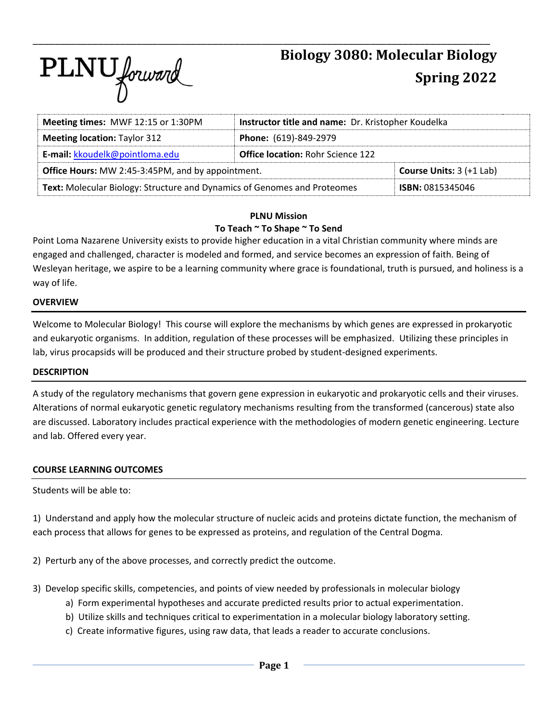

| Meeting times: MWF 12:15 or 1:30PM                                       | Instructor title and name: Dr. Kristopher Koudelka |                                   |  |  |
|--------------------------------------------------------------------------|----------------------------------------------------|-----------------------------------|--|--|
| <b>Meeting location: Taylor 312</b>                                      | Phone: (619)-849-2979                              |                                   |  |  |
| E-mail: kkoudelk@pointloma.edu                                           | <b>Office location: Rohr Science 122</b>           |                                   |  |  |
| <b>Office Hours:</b> MW 2:45-3:45PM, and by appointment.                 |                                                    | <b>Course Units:</b> $3 (+1$ Lab) |  |  |
| Text: Molecular Biology: Structure and Dynamics of Genomes and Proteomes |                                                    | <b>ISBN: 0815345046</b>           |  |  |

#### **PLNU Mission To Teach ~ To Shape ~ To Send**

Point Loma Nazarene University exists to provide higher education in a vital Christian community where minds are engaged and challenged, character is modeled and formed, and service becomes an expression of faith. Being of Wesleyan heritage, we aspire to be a learning community where grace is foundational, truth is pursued, and holiness is a way of life.

### **OVERVIEW**

Welcome to Molecular Biology! This course will explore the mechanisms by which genes are expressed in prokaryotic and eukaryotic organisms. In addition, regulation of these processes will be emphasized. Utilizing these principles in lab, virus procapsids will be produced and their structure probed by student-designed experiments.

#### **DESCRIPTION**

A study of the regulatory mechanisms that govern gene expression in eukaryotic and prokaryotic cells and their viruses. Alterations of normal eukaryotic genetic regulatory mechanisms resulting from the transformed (cancerous) state also are discussed. Laboratory includes practical experience with the methodologies of modern genetic engineering. Lecture and lab. Offered every year.

## **COURSE LEARNING OUTCOMES**

Students will be able to:

1) Understand and apply how the molecular structure of nucleic acids and proteins dictate function, the mechanism of each process that allows for genes to be expressed as proteins, and regulation of the Central Dogma.

2) Perturb any of the above processes, and correctly predict the outcome.

- 3) Develop specific skills, competencies, and points of view needed by professionals in molecular biology
	- a) Form experimental hypotheses and accurate predicted results prior to actual experimentation.
	- b) Utilize skills and techniques critical to experimentation in a molecular biology laboratory setting.
	- c) Create informative figures, using raw data, that leads a reader to accurate conclusions.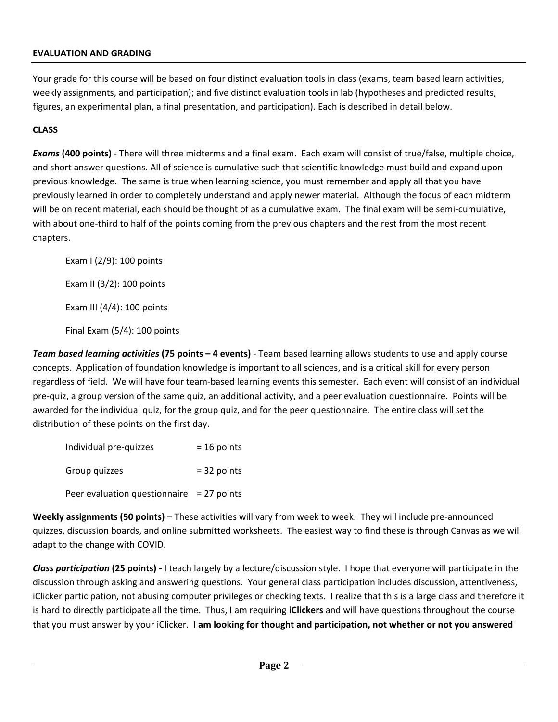### **EVALUATION AND GRADING**

Your grade for this course will be based on four distinct evaluation tools in class (exams, team based learn activities, weekly assignments, and participation); and five distinct evaluation tools in lab (hypotheses and predicted results, figures, an experimental plan, a final presentation, and participation). Each is described in detail below.

### **CLASS**

*Exams* **(400 points)** - There will three midterms and a final exam. Each exam will consist of true/false, multiple choice, and short answer questions. All of science is cumulative such that scientific knowledge must build and expand upon previous knowledge. The same is true when learning science, you must remember and apply all that you have previously learned in order to completely understand and apply newer material. Although the focus of each midterm will be on recent material, each should be thought of as a cumulative exam. The final exam will be semi-cumulative, with about one-third to half of the points coming from the previous chapters and the rest from the most recent chapters.

Exam I (2/9): 100 points Exam II (3/2): 100 points Exam III (4/4): 100 points Final Exam (5/4): 100 points

*Team based learning activities* **(75 points – 4 events)** - Team based learning allows students to use and apply course concepts. Application of foundation knowledge is important to all sciences, and is a critical skill for every person regardless of field. We will have four team-based learning events this semester. Each event will consist of an individual pre-quiz, a group version of the same quiz, an additional activity, and a peer evaluation questionnaire. Points will be awarded for the individual quiz, for the group quiz, and for the peer questionnaire. The entire class will set the distribution of these points on the first day.

| Individual pre-quizzes                      | $= 16$ points |
|---------------------------------------------|---------------|
| Group quizzes                               | $= 32$ points |
| Peer evaluation questionnaire = $27$ points |               |

**Weekly assignments (50 points)** – These activities will vary from week to week. They will include pre-announced quizzes, discussion boards, and online submitted worksheets. The easiest way to find these is through Canvas as we will adapt to the change with COVID.

*Class participation* **(25 points) -** I teach largely by a lecture/discussion style. I hope that everyone will participate in the discussion through asking and answering questions. Your general class participation includes discussion, attentiveness, iClicker participation, not abusing computer privileges or checking texts. I realize that this is a large class and therefore it is hard to directly participate all the time. Thus, I am requiring **iClickers** and will have questions throughout the course that you must answer by your iClicker. **I am looking for thought and participation, not whether or not you answered**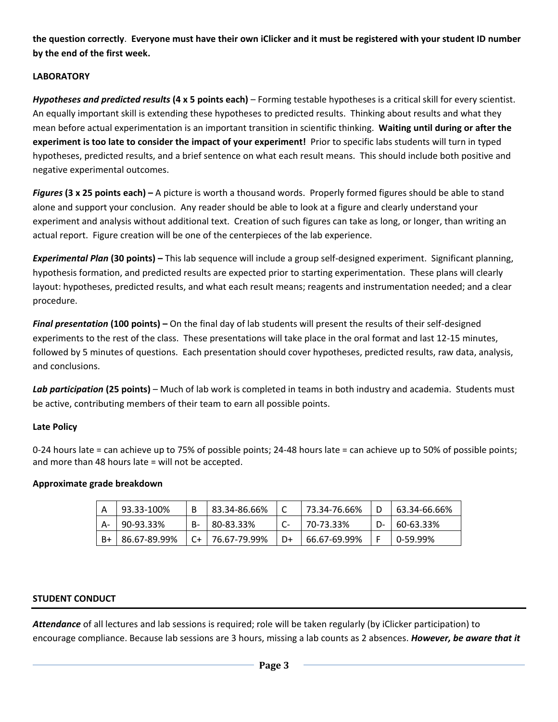**the question correctly**. **Everyone must have their own iClicker and it must be registered with your student ID number by the end of the first week.**

## **LABORATORY**

*Hypotheses and predicted results* **(4 x 5 points each)** – Forming testable hypotheses is a critical skill for every scientist. An equally important skill is extending these hypotheses to predicted results. Thinking about results and what they mean before actual experimentation is an important transition in scientific thinking. **Waiting until during or after the experiment is too late to consider the impact of your experiment!** Prior to specific labs students will turn in typed hypotheses, predicted results, and a brief sentence on what each result means. This should include both positive and negative experimental outcomes.

*Figures* **(3 x 25 points each) –** A picture is worth a thousand words. Properly formed figures should be able to stand alone and support your conclusion. Any reader should be able to look at a figure and clearly understand your experiment and analysis without additional text. Creation of such figures can take as long, or longer, than writing an actual report. Figure creation will be one of the centerpieces of the lab experience.

*Experimental Plan* **(30 points) –** This lab sequence will include a group self-designed experiment. Significant planning, hypothesis formation, and predicted results are expected prior to starting experimentation. These plans will clearly layout: hypotheses, predicted results, and what each result means; reagents and instrumentation needed; and a clear procedure.

*Final presentation* **(100 points) –** On the final day of lab students will present the results of their self-designed experiments to the rest of the class. These presentations will take place in the oral format and last 12-15 minutes, followed by 5 minutes of questions. Each presentation should cover hypotheses, predicted results, raw data, analysis, and conclusions.

Lab participation (25 points) – Much of lab work is completed in teams in both industry and academia. Students must be active, contributing members of their team to earn all possible points.

## **Late Policy**

0-24 hours late = can achieve up to 75% of possible points; 24-48 hours late = can achieve up to 50% of possible points; and more than 48 hours late = will not be accepted.

## **Approximate grade breakdown**

|    | 93.33-100%   |    | 83.34-86.66% |    | 73.34-76.66% |    | 63.34-66.66% |
|----|--------------|----|--------------|----|--------------|----|--------------|
| A- | 90-93.33%    | В- | 80-83.33%    |    | 70-73.33%    | D- | 60-63.33%    |
| B+ | 86.67-89.99% | C+ | 76.67-79.99% | D+ | 66.67-69.99% |    | 0-59.99%     |

# **STUDENT CONDUCT**

*Attendance* of all lectures and lab sessions is required; role will be taken regularly (by iClicker participation) to encourage compliance. Because lab sessions are 3 hours, missing a lab counts as 2 absences. *However, be aware that it*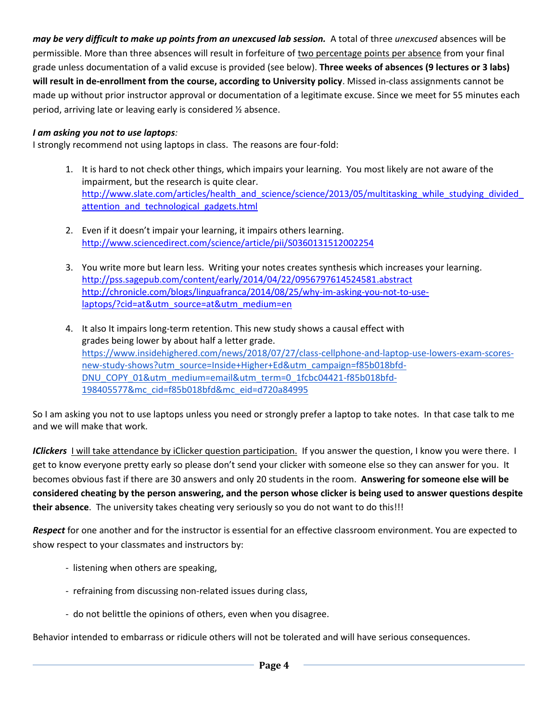*may be very difficult to make up points from an unexcused lab session.* A total of three *unexcused* absences will be permissible. More than three absences will result in forfeiture of two percentage points per absence from your final grade unless documentation of a valid excuse is provided (see below). **Three weeks of absences (9 lectures or 3 labs) will result in de-enrollment from the course, according to University policy**. Missed in-class assignments cannot be made up without prior instructor approval or documentation of a legitimate excuse. Since we meet for 55 minutes each period, arriving late or leaving early is considered ½ absence.

## *I am asking you not to use laptops:*

I strongly recommend not using laptops in class. The reasons are four-fold:

- 1. It is hard to not check other things, which impairs your learning. You most likely are not aware of the impairment, but the research is quite clear. http://www.slate.com/articles/health\_and\_science/science/2013/05/multitasking\_while\_studying\_divided attention and technological gadgets.html
- 2. Even if it doesn't impair your learning, it impairs others learning. <http://www.sciencedirect.com/science/article/pii/S0360131512002254>
- 3. You write more but learn less. Writing your notes creates synthesis which increases your learning. <http://pss.sagepub.com/content/early/2014/04/22/0956797614524581.abstract> [http://chronicle.com/blogs/linguafranca/2014/08/25/why-im-asking-you-not-to-use](http://chronicle.com/blogs/linguafranca/2014/08/25/why-im-asking-you-not-to-use-laptops/?cid=at&utm_source=at&utm_medium=en)[laptops/?cid=at&utm\\_source=at&utm\\_medium=en](http://chronicle.com/blogs/linguafranca/2014/08/25/why-im-asking-you-not-to-use-laptops/?cid=at&utm_source=at&utm_medium=en)
- 4. It also It impairs long-term retention. This new study shows a causal effect with grades being lower by about half a letter grade. [https://www.insidehighered.com/news/2018/07/27/class-cellphone-and-laptop-use-lowers-exam-scores](https://www.insidehighered.com/news/2018/07/27/class-cellphone-and-laptop-use-lowers-exam-scores-new-study-shows?utm_source=Inside+Higher+Ed&utm_campaign=f85b018bfd-DNU_COPY_01&utm_medium=email&utm_term=0_1fcbc04421-f85b018bfd-198405577&mc_cid=f85b018bfd&mc_eid=d720a84995)[new-study-shows?utm\\_source=Inside+Higher+Ed&utm\\_campaign=f85b018bfd-](https://www.insidehighered.com/news/2018/07/27/class-cellphone-and-laptop-use-lowers-exam-scores-new-study-shows?utm_source=Inside+Higher+Ed&utm_campaign=f85b018bfd-DNU_COPY_01&utm_medium=email&utm_term=0_1fcbc04421-f85b018bfd-198405577&mc_cid=f85b018bfd&mc_eid=d720a84995)[DNU\\_COPY\\_01&utm\\_medium=email&utm\\_term=0\\_1fcbc04421-f85b018bfd-](https://www.insidehighered.com/news/2018/07/27/class-cellphone-and-laptop-use-lowers-exam-scores-new-study-shows?utm_source=Inside+Higher+Ed&utm_campaign=f85b018bfd-DNU_COPY_01&utm_medium=email&utm_term=0_1fcbc04421-f85b018bfd-198405577&mc_cid=f85b018bfd&mc_eid=d720a84995)[198405577&mc\\_cid=f85b018bfd&mc\\_eid=d720a84995](https://www.insidehighered.com/news/2018/07/27/class-cellphone-and-laptop-use-lowers-exam-scores-new-study-shows?utm_source=Inside+Higher+Ed&utm_campaign=f85b018bfd-DNU_COPY_01&utm_medium=email&utm_term=0_1fcbc04421-f85b018bfd-198405577&mc_cid=f85b018bfd&mc_eid=d720a84995)

So I am asking you not to use laptops unless you need or strongly prefer a laptop to take notes. In that case talk to me and we will make that work.

*IClickers* I will take attendance by iClicker question participation. If you answer the question, I know you were there. I get to know everyone pretty early so please don't send your clicker with someone else so they can answer for you. It becomes obvious fast if there are 30 answers and only 20 students in the room. **Answering for someone else will be considered cheating by the person answering, and the person whose clicker is being used to answer questions despite their absence**. The university takes cheating very seriously so you do not want to do this!!!

*Respect* for one another and for the instructor is essential for an effective classroom environment. You are expected to show respect to your classmates and instructors by:

- listening when others are speaking,
- refraining from discussing non-related issues during class,
- do not belittle the opinions of others, even when you disagree.

Behavior intended to embarrass or ridicule others will not be tolerated and will have serious consequences.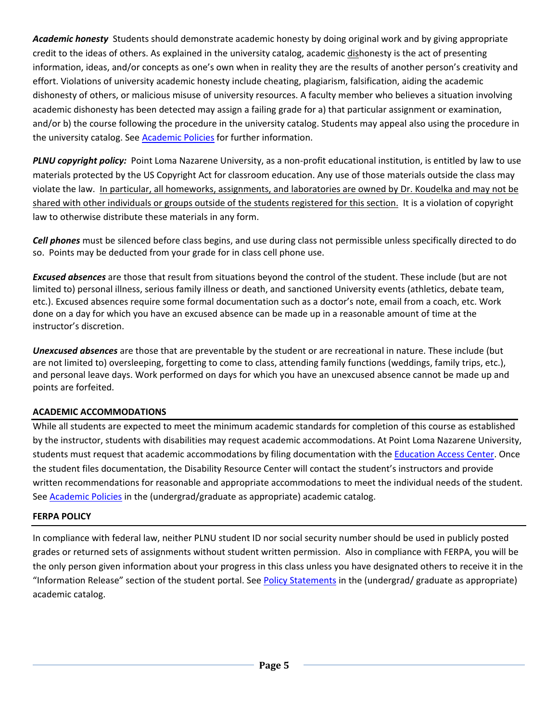*Academic honesty* Students should demonstrate academic honesty by doing original work and by giving appropriate credit to the ideas of others. As explained in the university catalog, academic dishonesty is the act of presenting information, ideas, and/or concepts as one's own when in reality they are the results of another person's creativity and effort. Violations of university academic honesty include cheating, plagiarism, falsification, aiding the academic dishonesty of others, or malicious misuse of university resources. A faculty member who believes a situation involving academic dishonesty has been detected may assign a failing grade for a) that particular assignment or examination, and/or b) the course following the procedure in the university catalog. Students may appeal also using the procedure in the university catalog. See [Academic Policies](http://www.pointloma.edu/experience/academics/catalogs/undergraduate-catalog/point-loma-education/academic-policies) for further information.

*PLNU copyright policy:* Point Loma Nazarene University, as a non-profit educational institution, is entitled by law to use materials protected by the US Copyright Act for classroom education. Any use of those materials outside the class may violate the law.In particular, all homeworks, assignments, and laboratories are owned by Dr. Koudelka and may not be shared with other individuals or groups outside of the students registered for this section. It is a violation of copyright law to otherwise distribute these materials in any form.

*Cell phones* must be silenced before class begins, and use during class not permissible unless specifically directed to do so. Points may be deducted from your grade for in class cell phone use.

*Excused absences* are those that result from situations beyond the control of the student. These include (but are not limited to) personal illness, serious family illness or death, and sanctioned University events (athletics, debate team, etc.). Excused absences require some formal documentation such as a doctor's note, email from a coach, etc. Work done on a day for which you have an excused absence can be made up in a reasonable amount of time at the instructor's discretion.

*Unexcused absences* are those that are preventable by the student or are recreational in nature. These include (but are not limited to) oversleeping, forgetting to come to class, attending family functions (weddings, family trips, etc.), and personal leave days. Work performed on days for which you have an unexcused absence cannot be made up and points are forfeited.

## **ACADEMIC ACCOMMODATIONS**

While all students are expected to meet the minimum academic standards for completion of this course as established by the instructor, students with disabilities may request academic accommodations. At Point Loma Nazarene University, students must request that academic accommodations by filing documentation with the [Education Access Center.](https://www.pointloma.edu/offices/educational-access-center) Once the student files documentation, the Disability Resource Center will contact the student's instructors and provide written recommendations for reasonable and appropriate accommodations to meet the individual needs of the student. See [Academic Policies](http://www.pointloma.edu/experience/academics/catalogs/undergraduate-catalog/point-loma-education/academic-policies) in the (undergrad/graduate as appropriate) academic catalog.

#### **FERPA POLICY**

In compliance with federal law, neither PLNU student ID nor social security number should be used in publicly posted grades or returned sets of assignments without student written permission. Also in compliance with FERPA, you will be the only person given information about your progress in this class unless you have designated others to receive it in the "Information Release" section of the student portal. See [Policy Statements](http://www.pointloma.edu/experience/academics/catalogs/undergraduate-catalog/policy-statements) in the (undergrad/ graduate as appropriate) academic catalog.